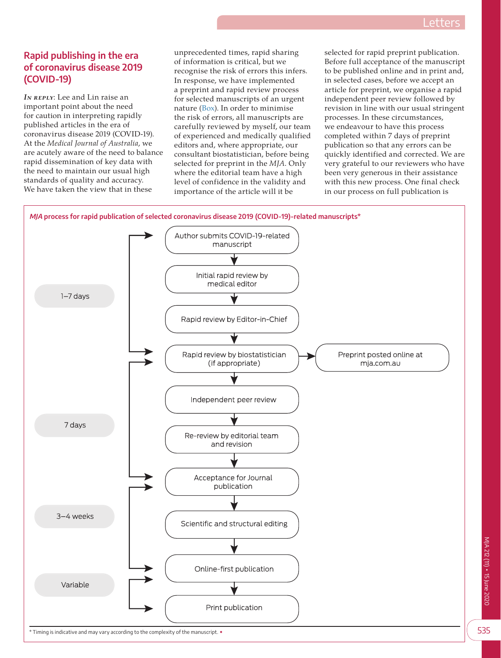## **Rapid publishing in the era of coronavirus disease 2019 (COVID-19)**

*IN REPLY*: Lee and Lin raise an important point about the need for caution in interpreting rapidly published articles in the era of coronavirus disease 2019 (COVID-19). At the *Medical Journal of Australia*, we are acutely aware of the need to balance rapid dissemination of key data with the need to maintain our usual high standards of quality and accuracy. We have taken the view that in these

unprecedented times, rapid sharing of information is critical, but we recognise the risk of errors this infers. In response, we have implemented a preprint and rapid review process for selected manuscripts of an urgent nature ([Box\)](#page-0-0). In order to minimise the risk of errors, all manuscripts are carefully reviewed by myself, our team of experienced and medically qualified editors and, where appropriate, our consultant biostatistician, before being selected for preprint in the *MJA*. Only where the editorial team have a high level of confidence in the validity and importance of the article will it be

selected for rapid preprint publication. Before full acceptance of the manuscript to be published online and in print and, in selected cases, before we accept an article for preprint, we organise a rapid independent peer review followed by revision in line with our usual stringent processes. In these circumstances, we endeavour to have this process completed within 7 days of preprint publication so that any errors can be quickly identified and corrected. We are very grateful to our reviewers who have been very generous in their assistance with this new process. One final check in our process on full publication is

<span id="page-0-0"></span>